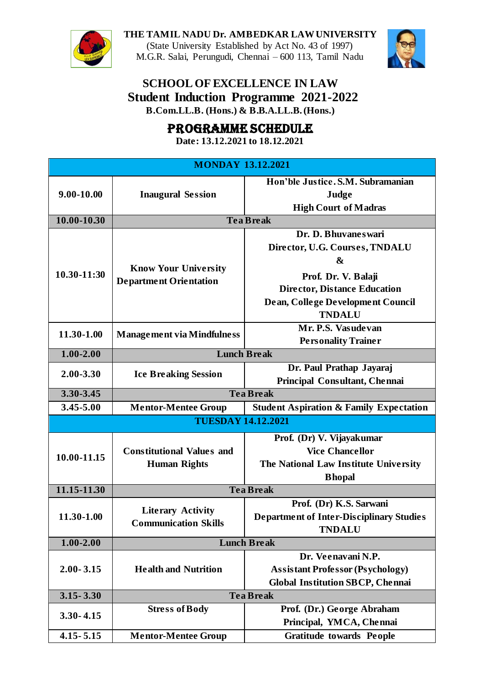**THE TAMIL NADU Dr. AMBEDKAR LAW UNIVERSITY** (State University Established by Act No. 43 of 1997) M.G.R. Salai, Perungudi, Chennai – 600 113, Tamil Nadu



## **SCHOOL OF EXCELLENCE IN LAW Student Induction Programme 2021-2022 B.Com.LL.B. (Hons.) & B.B.A.LL.B.(Hons.)**

## PROGRAMME SCHEDULE

**Date: 13.12.2021 to 18.12.2021**

| <b>MONDAY 13.12.2021</b>  |                                                              |                                                    |  |  |
|---------------------------|--------------------------------------------------------------|----------------------------------------------------|--|--|
| $9.00 - 10.00$            |                                                              | Hon'ble Justice. S.M. Subramanian                  |  |  |
|                           | <b>Inaugural Session</b>                                     | Judge                                              |  |  |
|                           |                                                              | <b>High Court of Madras</b>                        |  |  |
| 10.00-10.30               |                                                              | <b>Tea Break</b>                                   |  |  |
|                           | <b>Know Your University</b><br><b>Department Orientation</b> | Dr. D. Bhuvanes wari                               |  |  |
| 10.30-11:30               |                                                              | Director, U.G. Courses, TNDALU                     |  |  |
|                           |                                                              | $\boldsymbol{\&}$                                  |  |  |
|                           |                                                              | Prof. Dr. V. Balaji                                |  |  |
|                           |                                                              | <b>Director, Distance Education</b>                |  |  |
|                           |                                                              | Dean, College Development Council                  |  |  |
|                           |                                                              | <b>TNDALU</b>                                      |  |  |
| 11.30-1.00                | <b>Management via Mindfulness</b>                            | Mr. P.S. Vasudevan                                 |  |  |
|                           |                                                              | <b>Personality Trainer</b>                         |  |  |
| $1.00 - 2.00$             | <b>Lunch Break</b>                                           |                                                    |  |  |
| 2.00-3.30                 | <b>Ice Breaking Session</b>                                  | Dr. Paul Prathap Jayaraj                           |  |  |
|                           |                                                              | Principal Consultant, Chennai                      |  |  |
| $3.30 - 3.45$             | <b>Tea Break</b>                                             |                                                    |  |  |
| 3.45-5.00                 | <b>Mentor-Mentee Group</b>                                   | <b>Student Aspiration &amp; Family Expectation</b> |  |  |
| <b>TUESDAY 14.12.2021</b> |                                                              |                                                    |  |  |
|                           |                                                              | Prof. (Dr) V. Vijayakumar                          |  |  |
| 10.00-11.15               | <b>Constitutional Values and</b>                             | <b>Vice Chancellor</b>                             |  |  |
|                           | <b>Human Rights</b>                                          | The National Law Institute University              |  |  |
|                           |                                                              | <b>Bhopal</b>                                      |  |  |
| 11.15-11.30               | <b>Tea Break</b>                                             |                                                    |  |  |
| 11.30-1.00                |                                                              | Prof. (Dr) K.S. Sarwani                            |  |  |
|                           | <b>Literary Activity</b>                                     | <b>Department of Inter-Disciplinary Studies</b>    |  |  |
|                           | <b>Communication Skills</b>                                  | <b>TNDALU</b>                                      |  |  |
| $1.00 - 2.00$             | <b>Lunch Break</b>                                           |                                                    |  |  |
| $2.00 - 3.15$             | <b>Health and Nutrition</b>                                  | Dr. Veenavani N.P.                                 |  |  |
|                           |                                                              | <b>Assistant Professor (Psychology)</b>            |  |  |
|                           |                                                              | <b>Global Institution SBCP, Chennai</b>            |  |  |
| $3.15 - 3.30$             | <b>Tea Break</b>                                             |                                                    |  |  |
| $3.30 - 4.15$             | <b>Stress of Body</b>                                        | Prof. (Dr.) George Abraham                         |  |  |
|                           |                                                              | Principal, YMCA, Chennai                           |  |  |
| $4.15 - 5.15$             | <b>Mentor-Mentee Group</b>                                   | <b>Gratitude towards People</b>                    |  |  |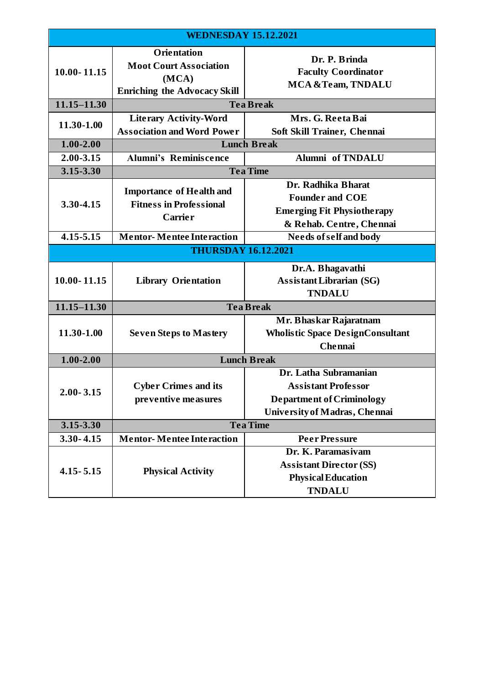| <b>WEDNESDAY 15.12.2021</b> |                                                                                                     |                                                                                                                          |  |  |
|-----------------------------|-----------------------------------------------------------------------------------------------------|--------------------------------------------------------------------------------------------------------------------------|--|--|
| $10.00 - 11.15$             | <b>Orientation</b><br><b>Moot Court Association</b><br>(MCA)<br><b>Enriching the Advocacy Skill</b> | Dr. P. Brinda<br><b>Faculty Coordinator</b><br>MCA & Team, TNDALU                                                        |  |  |
| $11.15 - 11.30$             | <b>Tea Break</b>                                                                                    |                                                                                                                          |  |  |
| 11.30-1.00                  | <b>Literary Activity-Word</b><br><b>Association and Word Power</b>                                  | Mrs. G. Reeta Bai<br>Soft Skill Trainer, Chennai                                                                         |  |  |
| $1.00 - 2.00$               | <b>Lunch Break</b>                                                                                  |                                                                                                                          |  |  |
| $2.00 - 3.15$               | <b>Alumni's Reminiscence</b>                                                                        | <b>Alumni</b> of TNDALU                                                                                                  |  |  |
| 3.15-3.30                   | <b>Tea Time</b>                                                                                     |                                                                                                                          |  |  |
| 3.30-4.15                   | <b>Importance of Health and</b><br><b>Fitness in Professional</b><br><b>Carrier</b>                 | Dr. Radhika Bharat<br><b>Founder and COE</b><br><b>Emerging Fit Physiotherapy</b><br>& Rehab. Centre, Chennai            |  |  |
| $4.15 - 5.15$               | <b>Mentor-Mentee Interaction</b>                                                                    | <b>Needs of self and body</b>                                                                                            |  |  |
|                             | <b>THURSDAY 16.12.2021</b>                                                                          |                                                                                                                          |  |  |
| $10.00 - 11.15$             | <b>Library Orientation</b>                                                                          | Dr.A. Bhagavathi<br><b>Assistant Librarian (SG)</b><br><b>TNDALU</b>                                                     |  |  |
| $11.15 - 11.30$             | <b>Tea Break</b>                                                                                    |                                                                                                                          |  |  |
| 11.30-1.00                  | <b>Seven Steps to Mastery</b>                                                                       | Mr. Bhaskar Rajaratnam<br><b>Wholistic Space DesignConsultant</b><br><b>Chennai</b>                                      |  |  |
| $1.00 - 2.00$               | <b>Lunch Break</b>                                                                                  |                                                                                                                          |  |  |
| $2.00 - 3.15$               | <b>Cyber Crimes and its</b><br>pre ventive measures                                                 | Dr. Latha Subramanian<br><b>Assistant Professor</b><br><b>Department of Criminology</b><br>University of Madras, Chennai |  |  |
| 3.15-3.30                   | <b>Tea Time</b>                                                                                     |                                                                                                                          |  |  |
| $3.30 - 4.15$               | <b>Mentor-Mentee Interaction</b>                                                                    | <b>Peer Pressure</b>                                                                                                     |  |  |
| $4.15 - 5.15$               | <b>Physical Activity</b>                                                                            | Dr. K. Paramasiyam<br><b>Assistant Director (SS)</b><br><b>Physical Education</b><br><b>TNDALU</b>                       |  |  |